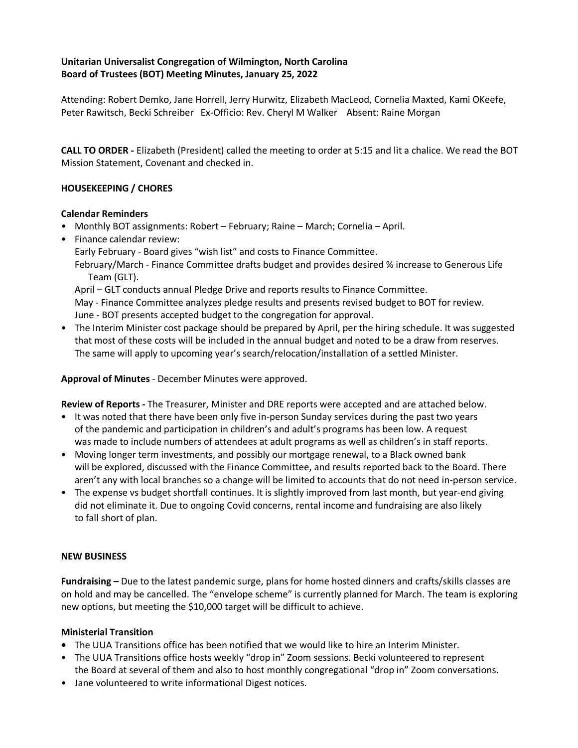# **Unitarian Universalist Congregation of Wilmington, North Carolina Board of Trustees (BOT) Meeting Minutes, January 25, 2022**

Attending: Robert Demko, Jane Horrell, Jerry Hurwitz, Elizabeth MacLeod, Cornelia Maxted, Kami OKeefe, Peter Rawitsch, Becki Schreiber Ex-Officio: Rev. Cheryl M Walker Absent: Raine Morgan

**CALL TO ORDER -** Elizabeth (President) called the meeting to order at 5:15 and lit a chalice. We read the BOT Mission Statement, Covenant and checked in.

# **HOUSEKEEPING / CHORES**

### **Calendar Reminders**

- Monthly BOT assignments: Robert February; Raine March; Cornelia April.
- Finance calendar review:

Early February - Board gives "wish list" and costs to Finance Committee.

February/March - Finance Committee drafts budget and provides desired % increase to Generous Life Team (GLT).

April – GLT conducts annual Pledge Drive and reports results to Finance Committee.

May - Finance Committee analyzes pledge results and presents revised budget to BOT for review. June - BOT presents accepted budget to the congregation for approval.

• The Interim Minister cost package should be prepared by April, per the hiring schedule. It was suggested that most of these costs will be included in the annual budget and noted to be a draw from reserves. The same will apply to upcoming year's search/relocation/installation of a settled Minister.

**Approval of Minutes** - December Minutes were approved.

**Review of Reports -** The Treasurer, Minister and DRE reports were accepted and are attached below.

- It was noted that there have been only five in-person Sunday services during the past two years of the pandemic and participation in children's and adult's programs has been low. A request was made to include numbers of attendees at adult programs as well as children's in staff reports.
- Moving longer term investments, and possibly our mortgage renewal, to a Black owned bank will be explored, discussed with the Finance Committee, and results reported back to the Board. There aren't any with local branches so a change will be limited to accounts that do not need in-person service.
- The expense vs budget shortfall continues. It is slightly improved from last month, but year-end giving did not eliminate it. Due to ongoing Covid concerns, rental income and fundraising are also likely to fall short of plan.

### **NEW BUSINESS**

**Fundraising –** Due to the latest pandemic surge, plans for home hosted dinners and crafts/skills classes are on hold and may be cancelled. The "envelope scheme" is currently planned for March. The team is exploring new options, but meeting the \$10,000 target will be difficult to achieve.

### **Ministerial Transition**

- **•** The UUA Transitions office has been notified that we would like to hire an Interim Minister.
- The UUA Transitions office hosts weekly "drop in" Zoom sessions. Becki volunteered to represent the Board at several of them and also to host monthly congregational "drop in" Zoom conversations.
- Jane volunteered to write informational Digest notices.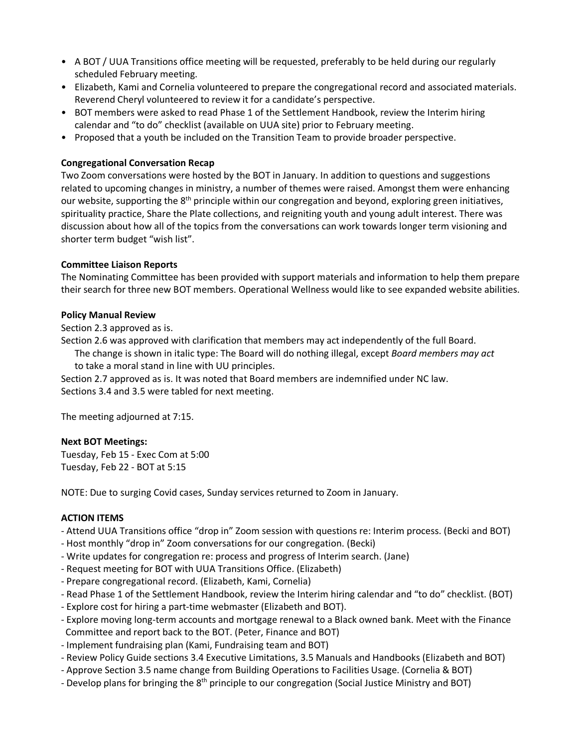- A BOT / UUA Transitions office meeting will be requested, preferably to be held during our regularly scheduled February meeting.
- Elizabeth, Kami and Cornelia volunteered to prepare the congregational record and associated materials. Reverend Cheryl volunteered to review it for a candidate's perspective.
- BOT members were asked to read Phase 1 of the Settlement Handbook, review the Interim hiring calendar and "to do" checklist (available on UUA site) prior to February meeting.
- Proposed that a youth be included on the Transition Team to provide broader perspective.

# **Congregational Conversation Recap**

Two Zoom conversations were hosted by the BOT in January. In addition to questions and suggestions related to upcoming changes in ministry, a number of themes were raised. Amongst them were enhancing our website, supporting the  $8<sup>th</sup>$  principle within our congregation and beyond, exploring green initiatives, spirituality practice, Share the Plate collections, and reigniting youth and young adult interest. There was discussion about how all of the topics from the conversations can work towards longer term visioning and shorter term budget "wish list".

# **Committee Liaison Reports**

The Nominating Committee has been provided with support materials and information to help them prepare their search for three new BOT members. Operational Wellness would like to see expanded website abilities.

### **Policy Manual Review**

Section 2.3 approved as is.

Section 2.6 was approved with clarification that members may act independently of the full Board. The change is shown in italic type: The Board will do nothing illegal, except *Board members may act*

to take a moral stand in line with UU principles.

Section 2.7 approved as is. It was noted that Board members are indemnified under NC law. Sections 3.4 and 3.5 were tabled for next meeting.

The meeting adjourned at 7:15.

### **Next BOT Meetings:**

Tuesday, Feb 15 - Exec Com at 5:00 Tuesday, Feb 22 - BOT at 5:15

NOTE: Due to surging Covid cases, Sunday services returned to Zoom in January.

### **ACTION ITEMS**

- Attend UUA Transitions office "drop in" Zoom session with questions re: Interim process. (Becki and BOT)

- Host monthly "drop in" Zoom conversations for our congregation. (Becki)

- Write updates for congregation re: process and progress of Interim search. (Jane)
- Request meeting for BOT with UUA Transitions Office. (Elizabeth)
- Prepare congregational record. (Elizabeth, Kami, Cornelia)
- Read Phase 1 of the Settlement Handbook, review the Interim hiring calendar and "to do" checklist. (BOT)
- Explore cost for hiring a part-time webmaster (Elizabeth and BOT).
- Explore moving long-term accounts and mortgage renewal to a Black owned bank. Meet with the Finance Committee and report back to the BOT. (Peter, Finance and BOT)
- Implement fundraising plan (Kami, Fundraising team and BOT)
- Review Policy Guide sections 3.4 Executive Limitations, 3.5 Manuals and Handbooks (Elizabeth and BOT)
- Approve Section 3.5 name change from Building Operations to Facilities Usage. (Cornelia & BOT)
- Develop plans for bringing the 8<sup>th</sup> principle to our congregation (Social Justice Ministry and BOT)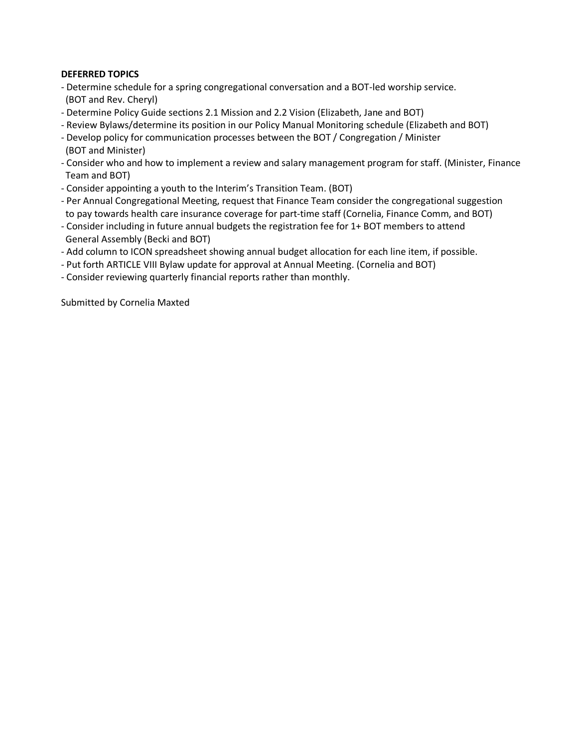# **DEFERRED TOPICS**

- Determine schedule for a spring congregational conversation and a BOT-led worship service. (BOT and Rev. Cheryl)
- Determine Policy Guide sections 2.1 Mission and 2.2 Vision (Elizabeth, Jane and BOT)
- Review Bylaws/determine its position in our Policy Manual Monitoring schedule (Elizabeth and BOT)
- Develop policy for communication processes between the BOT / Congregation / Minister (BOT and Minister)
- Consider who and how to implement a review and salary management program for staff. (Minister, Finance Team and BOT)
- Consider appointing a youth to the Interim's Transition Team. (BOT)
- Per Annual Congregational Meeting, request that Finance Team consider the congregational suggestion to pay towards health care insurance coverage for part-time staff (Cornelia, Finance Comm, and BOT)
- Consider including in future annual budgets the registration fee for 1+ BOT members to attend General Assembly (Becki and BOT)
- Add column to ICON spreadsheet showing annual budget allocation for each line item, if possible.
- Put forth ARTICLE VIII Bylaw update for approval at Annual Meeting. (Cornelia and BOT)
- Consider reviewing quarterly financial reports rather than monthly.

Submitted by Cornelia Maxted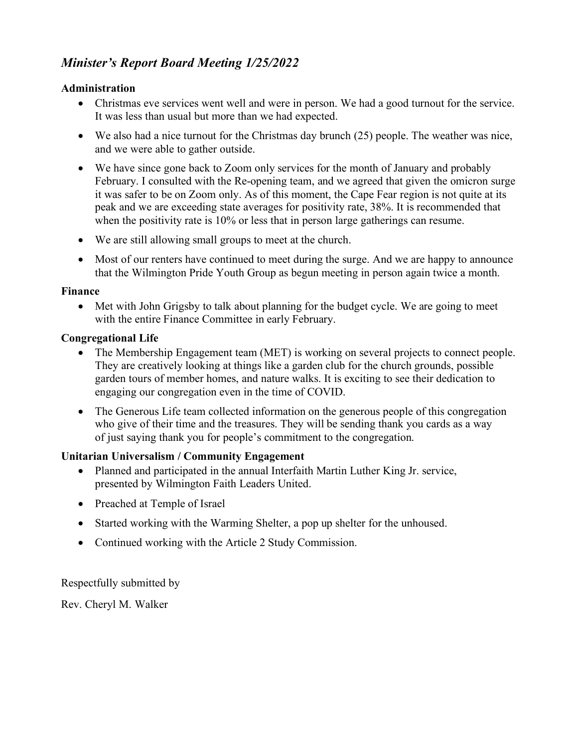# *Minister's Report Board Meeting 1/25/2022*

# **Administration**

- Christmas eve services went well and were in person. We had a good turnout for the service. It was less than usual but more than we had expected.
- We also had a nice turnout for the Christmas day brunch (25) people. The weather was nice, and we were able to gather outside.
- We have since gone back to Zoom only services for the month of January and probably February. I consulted with the Re-opening team, and we agreed that given the omicron surge it was safer to be on Zoom only. As of this moment, the Cape Fear region is not quite at its peak and we are exceeding state averages for positivity rate, 38%. It is recommended that when the positivity rate is 10% or less that in person large gatherings can resume.
- We are still allowing small groups to meet at the church.
- Most of our renters have continued to meet during the surge. And we are happy to announce that the Wilmington Pride Youth Group as begun meeting in person again twice a month.

# **Finance**

• Met with John Grigsby to talk about planning for the budget cycle. We are going to meet with the entire Finance Committee in early February.

# **Congregational Life**

- The Membership Engagement team (MET) is working on several projects to connect people. They are creatively looking at things like a garden club for the church grounds, possible garden tours of member homes, and nature walks. It is exciting to see their dedication to engaging our congregation even in the time of COVID.
- The Generous Life team collected information on the generous people of this congregation who give of their time and the treasures. They will be sending thank you cards as a way of just saying thank you for people's commitment to the congregation.

# **Unitarian Universalism / Community Engagement**

- Planned and participated in the annual Interfaith Martin Luther King Jr. service, presented by Wilmington Faith Leaders United.
- Preached at Temple of Israel
- Started working with the Warming Shelter, a pop up shelter for the unhoused.
- Continued working with the Article 2 Study Commission.

Respectfully submitted by

Rev. Cheryl M. Walker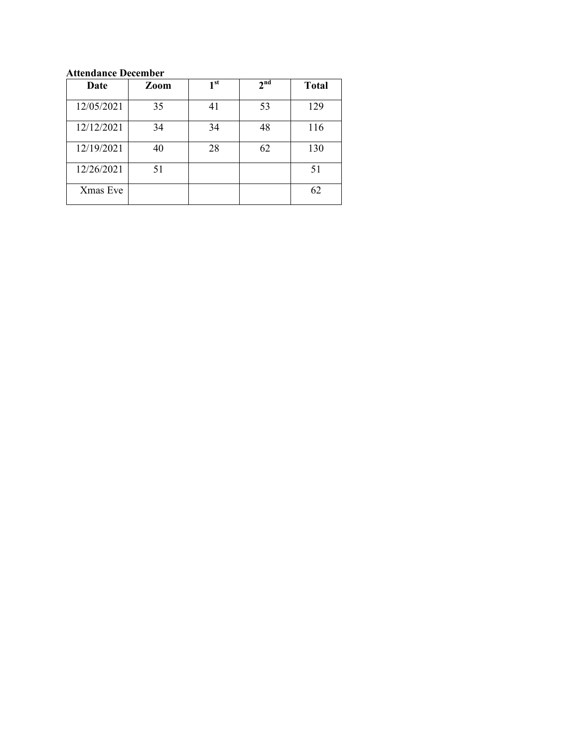# **Attendance December**

| Date       | Zoom | 1 <sup>st</sup> | 2 <sup>nd</sup> | <b>Total</b> |
|------------|------|-----------------|-----------------|--------------|
| 12/05/2021 | 35   | 41              | 53              | 129          |
| 12/12/2021 | 34   | 34              | 48              | 116          |
| 12/19/2021 | 40   | 28              | 62              | 130          |
| 12/26/2021 | 51   |                 |                 | 51           |
| Xmas Eve   |      |                 |                 | 62           |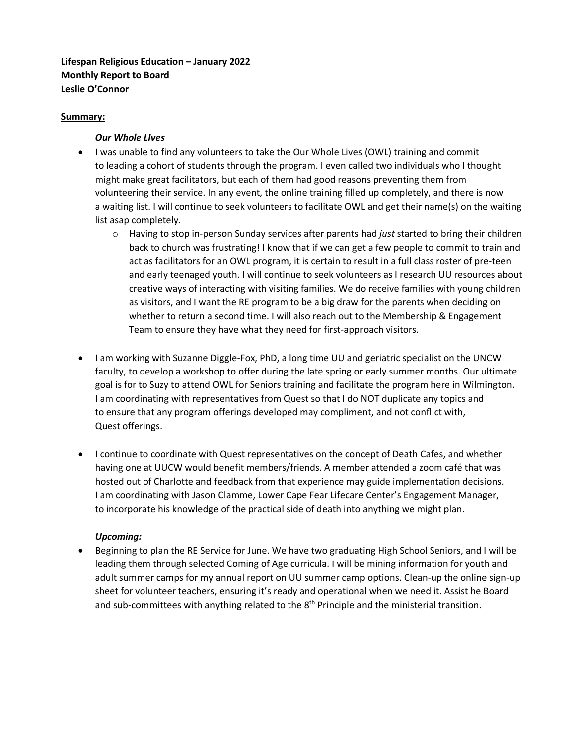# **Lifespan Religious Education – January 2022 Monthly Report to Board Leslie O'Connor**

# **Summary:**

# *Our Whole LIves*

- I was unable to find any volunteers to take the Our Whole Lives (OWL) training and commit to leading a cohort of students through the program. I even called two individuals who I thought might make great facilitators, but each of them had good reasons preventing them from volunteering their service. In any event, the online training filled up completely, and there is now a waiting list. I will continue to seek volunteers to facilitate OWL and get their name(s) on the waiting list asap completely.
	- o Having to stop in-person Sunday services after parents had *just* started to bring their children back to church was frustrating! I know that if we can get a few people to commit to train and act as facilitators for an OWL program, it is certain to result in a full class roster of pre-teen and early teenaged youth. I will continue to seek volunteers as I research UU resources about creative ways of interacting with visiting families. We do receive families with young children as visitors, and I want the RE program to be a big draw for the parents when deciding on whether to return a second time. I will also reach out to the Membership & Engagement Team to ensure they have what they need for first-approach visitors.
- I am working with Suzanne Diggle-Fox, PhD, a long time UU and geriatric specialist on the UNCW faculty, to develop a workshop to offer during the late spring or early summer months. Our ultimate goal is for to Suzy to attend OWL for Seniors training and facilitate the program here in Wilmington. I am coordinating with representatives from Quest so that I do NOT duplicate any topics and to ensure that any program offerings developed may compliment, and not conflict with, Quest offerings.
- I continue to coordinate with Quest representatives on the concept of Death Cafes, and whether having one at UUCW would benefit members/friends. A member attended a zoom café that was hosted out of Charlotte and feedback from that experience may guide implementation decisions. I am coordinating with Jason Clamme, Lower Cape Fear Lifecare Center's Engagement Manager, to incorporate his knowledge of the practical side of death into anything we might plan.

### *Upcoming:*

• Beginning to plan the RE Service for June. We have two graduating High School Seniors, and I will be leading them through selected Coming of Age curricula. I will be mining information for youth and adult summer camps for my annual report on UU summer camp options. Clean-up the online sign-up sheet for volunteer teachers, ensuring it's ready and operational when we need it. Assist he Board and sub-committees with anything related to the 8<sup>th</sup> Principle and the ministerial transition.